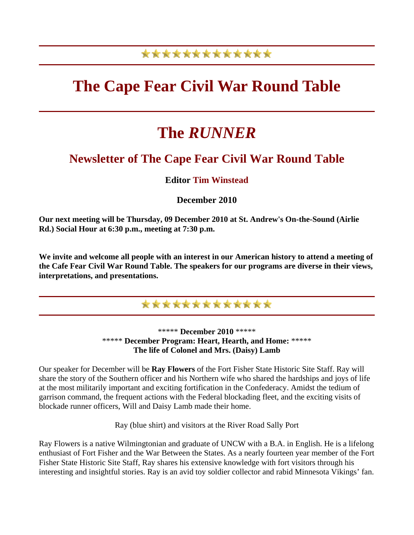## \*\*\*\*\*\*\*\*\*\*\*\*\*

# **The Cape Fear Civil War Round Table**

# **The** *RUNNER*

## **Newsletter of The Cape Fear Civil War Round Table**

### **Editor Tim Winstead**

### **December 2010**

**Our next meeting will be Thursday, 09 December 2010 at St. Andrew's On-the-Sound (Airlie Rd.) Social Hour at 6:30 p.m., meeting at 7:30 p.m.**

**We invite and welcome all people with an interest in our American history to attend a meeting of the Cafe Fear Civil War Round Table. The speakers for our programs are diverse in their views, interpretations, and presentations.** 



\*\*\*\*\* **December 2010** \*\*\*\*\* \*\*\*\*\* **December Program: Heart, Hearth, and Home:** \*\*\*\*\* **The life of Colonel and Mrs. (Daisy) Lamb**

Our speaker for December will be **Ray Flowers** of the Fort Fisher State Historic Site Staff. Ray will share the story of the Southern officer and his Northern wife who shared the hardships and joys of life at the most militarily important and exciting fortification in the Confederacy. Amidst the tedium of garrison command, the frequent actions with the Federal blockading fleet, and the exciting visits of blockade runner officers, Will and Daisy Lamb made their home.

Ray (blue shirt) and visitors at the River Road Sally Port

Ray Flowers is a native Wilmingtonian and graduate of UNCW with a B.A. in English. He is a lifelong enthusiast of Fort Fisher and the War Between the States. As a nearly fourteen year member of the Fort Fisher State Historic Site Staff, Ray shares his extensive knowledge with fort visitors through his interesting and insightful stories. Ray is an avid toy soldier collector and rabid Minnesota Vikings' fan.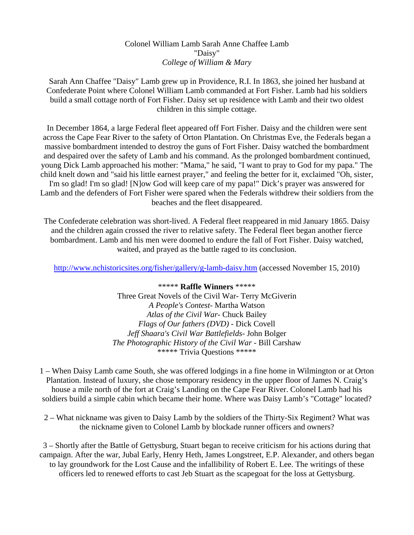#### Colonel William Lamb Sarah Anne Chaffee Lamb "Daisy" *College of William & Mary*

Sarah Ann Chaffee "Daisy" Lamb grew up in Providence, R.I. In 1863, she joined her husband at Confederate Point where Colonel William Lamb commanded at Fort Fisher. Lamb had his soldiers build a small cottage north of Fort Fisher. Daisy set up residence with Lamb and their two oldest children in this simple cottage.

In December 1864, a large Federal fleet appeared off Fort Fisher. Daisy and the children were sent across the Cape Fear River to the safety of Orton Plantation. On Christmas Eve, the Federals began a massive bombardment intended to destroy the guns of Fort Fisher. Daisy watched the bombardment and despaired over the safety of Lamb and his command. As the prolonged bombardment continued, young Dick Lamb approached his mother: "Mama," he said, "I want to pray to God for my papa." The child knelt down and "said his little earnest prayer," and feeling the better for it, exclaimed "Oh, sister, I'm so glad! I'm so glad! [N]ow God will keep care of my papa!" Dick's prayer was answered for Lamb and the defenders of Fort Fisher were spared when the Federals withdrew their soldiers from the beaches and the fleet disappeared.

The Confederate celebration was short-lived. A Federal fleet reappeared in mid January 1865. Daisy and the children again crossed the river to relative safety. The Federal fleet began another fierce bombardment. Lamb and his men were doomed to endure the fall of Fort Fisher. Daisy watched, waited, and prayed as the battle raged to its conclusion.

<http://www.nchistoricsites.org/fisher/gallery/g-lamb-daisy.htm>(accessed November 15, 2010)

\*\*\*\*\* **Raffle Winners** \*\*\*\*\* Three Great Novels of the Civil War- Terry McGiverin *A People's Contest*- Martha Watson *Atlas of the Civil War*- Chuck Bailey *Flags of Our fathers (DVD)* - Dick Covell *Jeff Shaara's Civil War Battlefields*- John Bolger *The Photographic History of the Civil War* - Bill Carshaw \*\*\*\*\* Trivia Questions \*\*\*\*\*

1 – When Daisy Lamb came South, she was offered lodgings in a fine home in Wilmington or at Orton Plantation. Instead of luxury, she chose temporary residency in the upper floor of James N. Craig's house a mile north of the fort at Craig's Landing on the Cape Fear River. Colonel Lamb had his soldiers build a simple cabin which became their home. Where was Daisy Lamb's "Cottage" located?

2 – What nickname was given to Daisy Lamb by the soldiers of the Thirty-Six Regiment? What was the nickname given to Colonel Lamb by blockade runner officers and owners?

3 – Shortly after the Battle of Gettysburg, Stuart began to receive criticism for his actions during that campaign. After the war, Jubal Early, Henry Heth, James Longstreet, E.P. Alexander, and others began to lay groundwork for the Lost Cause and the infallibility of Robert E. Lee. The writings of these officers led to renewed efforts to cast Jeb Stuart as the scapegoat for the loss at Gettysburg.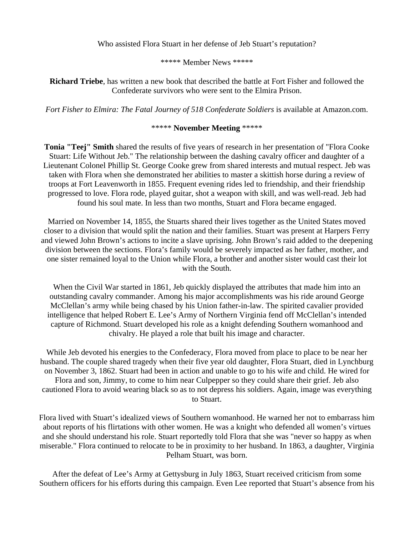Who assisted Flora Stuart in her defense of Jeb Stuart's reputation?

\*\*\*\*\* Member News \*\*\*\*\*

**Richard Triebe**, has written a new book that described the battle at Fort Fisher and followed the Confederate survivors who were sent to the Elmira Prison.

*Fort Fisher to Elmira: The Fatal Journey of 518 Confederate Soldiers* is available at Amazon.com.

#### \*\*\*\*\* **November Meeting** \*\*\*\*\*

**Tonia "Teej" Smith** shared the results of five years of research in her presentation of "Flora Cooke Stuart: Life Without Jeb." The relationship between the dashing cavalry officer and daughter of a Lieutenant Colonel Phillip St. George Cooke grew from shared interests and mutual respect. Jeb was taken with Flora when she demonstrated her abilities to master a skittish horse during a review of troops at Fort Leavenworth in 1855. Frequent evening rides led to friendship, and their friendship progressed to love. Flora rode, played guitar, shot a weapon with skill, and was well-read. Jeb had found his soul mate. In less than two months, Stuart and Flora became engaged.

Married on November 14, 1855, the Stuarts shared their lives together as the United States moved closer to a division that would split the nation and their families. Stuart was present at Harpers Ferry and viewed John Brown's actions to incite a slave uprising. John Brown's raid added to the deepening division between the sections. Flora's family would be severely impacted as her father, mother, and one sister remained loyal to the Union while Flora, a brother and another sister would cast their lot with the South.

When the Civil War started in 1861, Jeb quickly displayed the attributes that made him into an outstanding cavalry commander. Among his major accomplishments was his ride around George McClellan's army while being chased by his Union father-in-law. The spirited cavalier provided intelligence that helped Robert E. Lee's Army of Northern Virginia fend off McClellan's intended capture of Richmond. Stuart developed his role as a knight defending Southern womanhood and chivalry. He played a role that built his image and character.

While Jeb devoted his energies to the Confederacy, Flora moved from place to place to be near her husband. The couple shared tragedy when their five year old daughter, Flora Stuart, died in Lynchburg on November 3, 1862. Stuart had been in action and unable to go to his wife and child. He wired for Flora and son, Jimmy, to come to him near Culpepper so they could share their grief. Jeb also cautioned Flora to avoid wearing black so as to not depress his soldiers. Again, image was everything to Stuart.

Flora lived with Stuart's idealized views of Southern womanhood. He warned her not to embarrass him about reports of his flirtations with other women. He was a knight who defended all women's virtues and she should understand his role. Stuart reportedly told Flora that she was "never so happy as when miserable." Flora continued to relocate to be in proximity to her husband. In 1863, a daughter, Virginia Pelham Stuart, was born.

After the defeat of Lee's Army at Gettysburg in July 1863, Stuart received criticism from some Southern officers for his efforts during this campaign. Even Lee reported that Stuart's absence from his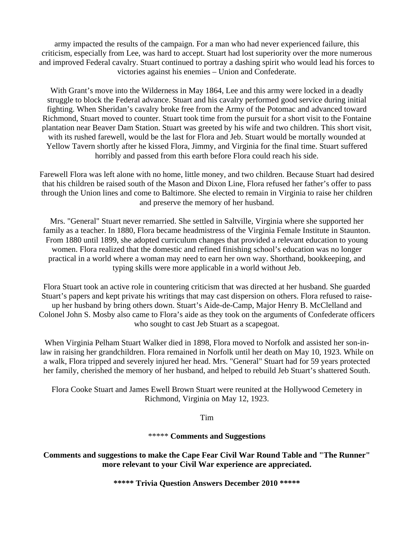army impacted the results of the campaign. For a man who had never experienced failure, this criticism, especially from Lee, was hard to accept. Stuart had lost superiority over the more numerous and improved Federal cavalry. Stuart continued to portray a dashing spirit who would lead his forces to victories against his enemies – Union and Confederate.

With Grant's move into the Wilderness in May 1864, Lee and this army were locked in a deadly struggle to block the Federal advance. Stuart and his cavalry performed good service during initial fighting. When Sheridan's cavalry broke free from the Army of the Potomac and advanced toward Richmond, Stuart moved to counter. Stuart took time from the pursuit for a short visit to the Fontaine plantation near Beaver Dam Station. Stuart was greeted by his wife and two children. This short visit, with its rushed farewell, would be the last for Flora and Jeb. Stuart would be mortally wounded at Yellow Tavern shortly after he kissed Flora, Jimmy, and Virginia for the final time. Stuart suffered horribly and passed from this earth before Flora could reach his side.

Farewell Flora was left alone with no home, little money, and two children. Because Stuart had desired that his children be raised south of the Mason and Dixon Line, Flora refused her father's offer to pass through the Union lines and come to Baltimore. She elected to remain in Virginia to raise her children and preserve the memory of her husband.

Mrs. "General" Stuart never remarried. She settled in Saltville, Virginia where she supported her family as a teacher. In 1880, Flora became headmistress of the Virginia Female Institute in Staunton. From 1880 until 1899, she adopted curriculum changes that provided a relevant education to young women. Flora realized that the domestic and refined finishing school's education was no longer practical in a world where a woman may need to earn her own way. Shorthand, bookkeeping, and typing skills were more applicable in a world without Jeb.

Flora Stuart took an active role in countering criticism that was directed at her husband. She guarded Stuart's papers and kept private his writings that may cast dispersion on others. Flora refused to raiseup her husband by bring others down. Stuart's Aide-de-Camp, Major Henry B. McClelland and Colonel John S. Mosby also came to Flora's aide as they took on the arguments of Confederate officers who sought to cast Jeb Stuart as a scapegoat.

When Virginia Pelham Stuart Walker died in 1898, Flora moved to Norfolk and assisted her son-inlaw in raising her grandchildren. Flora remained in Norfolk until her death on May 10, 1923. While on a walk, Flora tripped and severely injured her head. Mrs. "General" Stuart had for 59 years protected her family, cherished the memory of her husband, and helped to rebuild Jeb Stuart's shattered South.

Flora Cooke Stuart and James Ewell Brown Stuart were reunited at the Hollywood Cemetery in Richmond, Virginia on May 12, 1923.

Tim

\*\*\*\*\* **Comments and Suggestions**

**Comments and suggestions to make the Cape Fear Civil War Round Table and "The Runner" more relevant to your Civil War experience are appreciated.** 

**\*\*\*\*\* Trivia Question Answers December 2010 \*\*\*\*\***